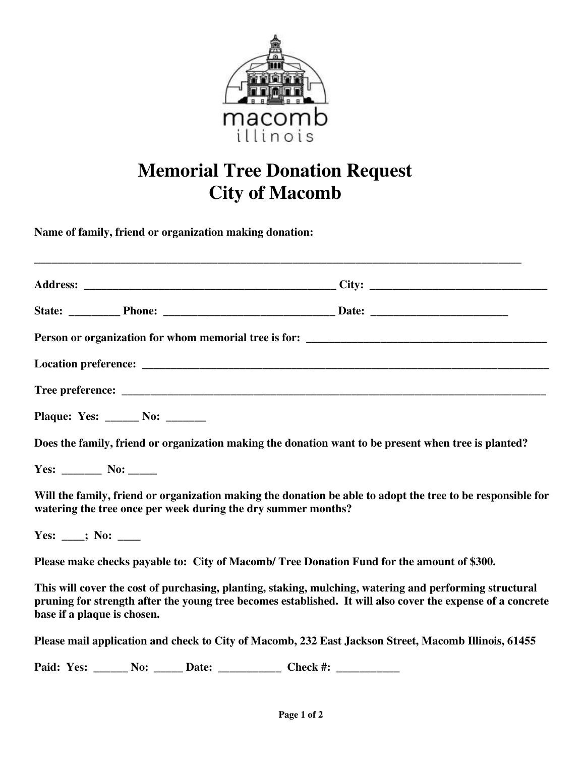

## **Memorial Tree Donation Request City of Macomb**

**\_\_\_\_\_\_\_\_\_\_\_\_\_\_\_\_\_\_\_\_\_\_\_\_\_\_\_\_\_\_\_\_\_\_\_\_\_\_\_\_\_\_\_\_\_\_\_\_\_\_\_\_\_\_\_\_\_\_\_\_\_\_\_\_\_\_\_\_\_\_\_\_\_\_\_\_\_\_\_\_\_\_\_\_\_** 

**Name of family, friend or organization making donation:** 

|                                                                                                                                                                              | Plaque: Yes: ______ No: ______                                                                          |                                                                                                             |
|------------------------------------------------------------------------------------------------------------------------------------------------------------------------------|---------------------------------------------------------------------------------------------------------|-------------------------------------------------------------------------------------------------------------|
|                                                                                                                                                                              | Does the family, friend or organization making the donation want to be present when tree is planted?    |                                                                                                             |
|                                                                                                                                                                              |                                                                                                         |                                                                                                             |
| Will the family, friend or organization making the donation be able to adopt the tree to be responsible for<br>watering the tree once per week during the dry summer months? |                                                                                                         |                                                                                                             |
| Yes: ___; No: ____                                                                                                                                                           |                                                                                                         |                                                                                                             |
|                                                                                                                                                                              | Please make checks payable to: City of Macomb/Tree Donation Fund for the amount of \$300.               |                                                                                                             |
| base if a plaque is chosen.                                                                                                                                                  | This will cover the cost of purchasing, planting, staking, mulching, watering and performing structural | pruning for strength after the young tree becomes established. It will also cover the expense of a concrete |
|                                                                                                                                                                              | Please mail application and check to City of Macomb, 232 East Jackson Street, Macomb Illinois, 61455    |                                                                                                             |

Paid: Yes: \_\_\_\_\_\_ No: \_\_\_\_\_ Date: \_\_\_\_\_\_\_\_\_\_\_\_\_ Check #: \_\_\_\_\_\_\_\_\_\_\_\_\_\_\_\_\_\_\_\_\_\_\_